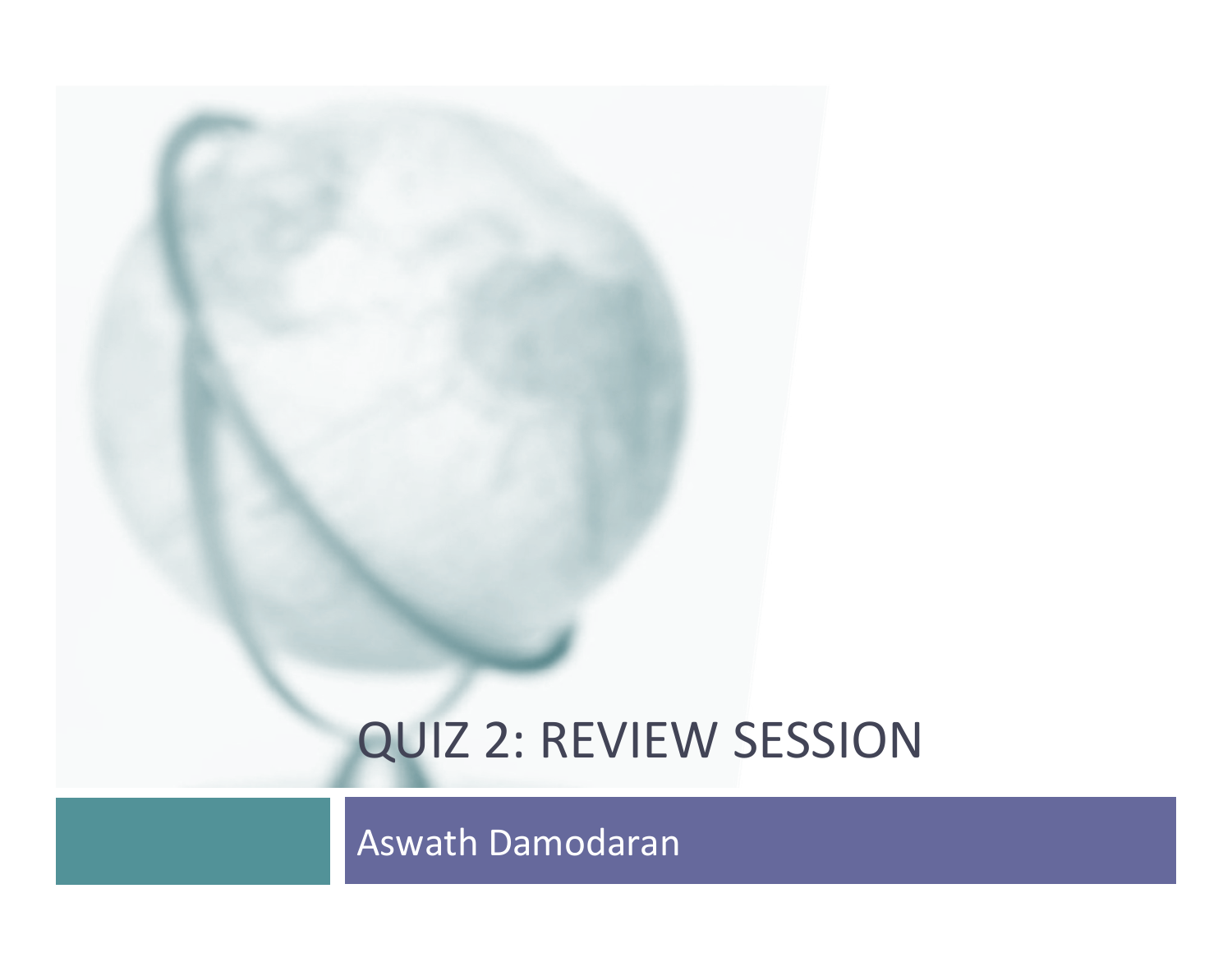# QUIZ 2: REVIEW SESSION

Aswath Damodaran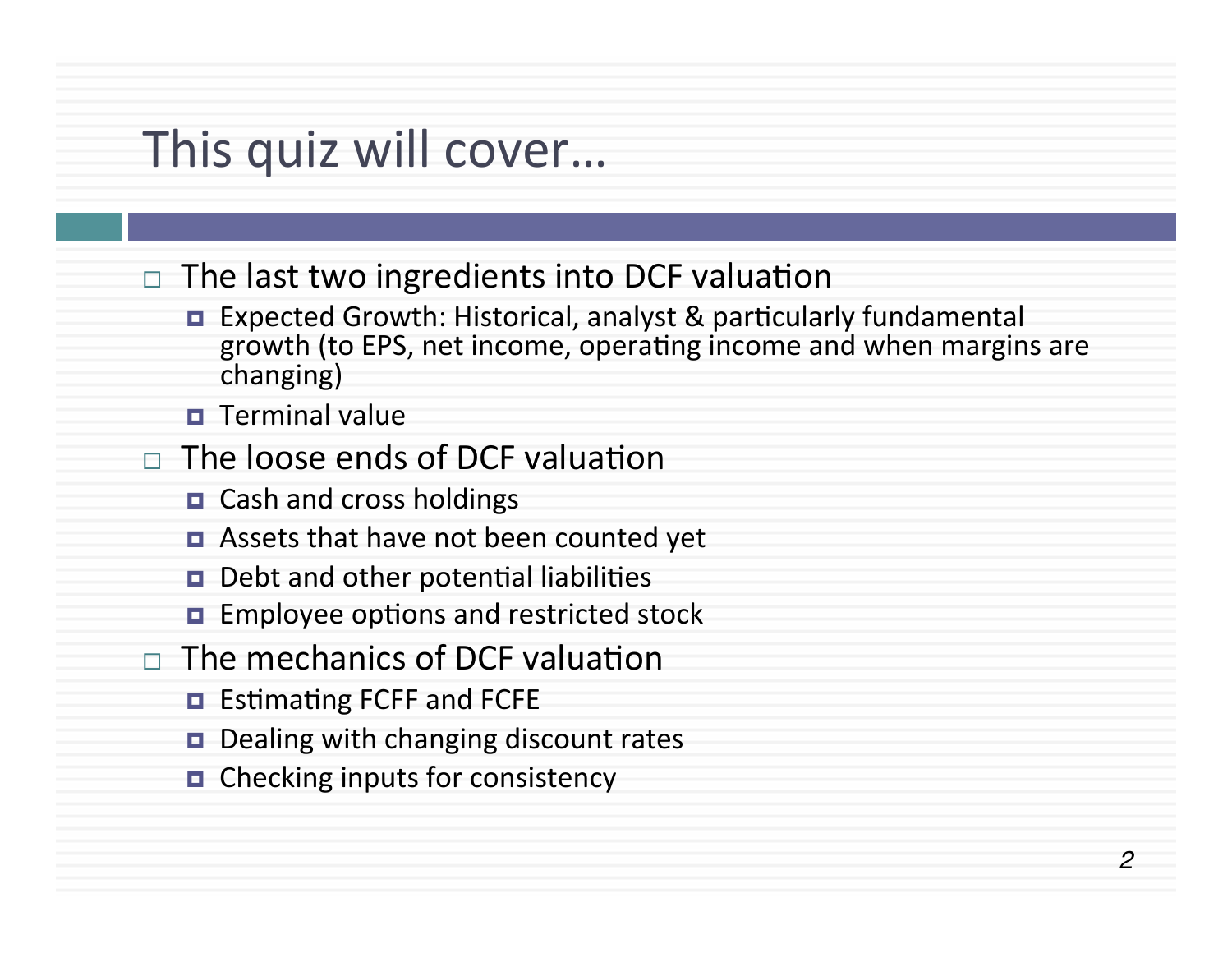# This quiz will cover...

- $\Box$  The last two ingredients into DCF valuation
	- Expected Growth: Historical, analyst & particularly fundamental growth (to EPS, net income, operating income and when margins are changing)
	- **<u>n</u>** Terminal value
- $\Box$  The loose ends of DCF valuation
	- Cash and cross holdings
	- Assets that have not been counted yet
	- $\blacksquare$  Debt and other potential liabilities
	- $\blacksquare$  Employee options and restricted stock
- $\Box$  The mechanics of DCF valuation
	- **E** Estimating FCFF and FCFE
	- **□** Dealing with changing discount rates
	- $\blacksquare$  Checking inputs for consistency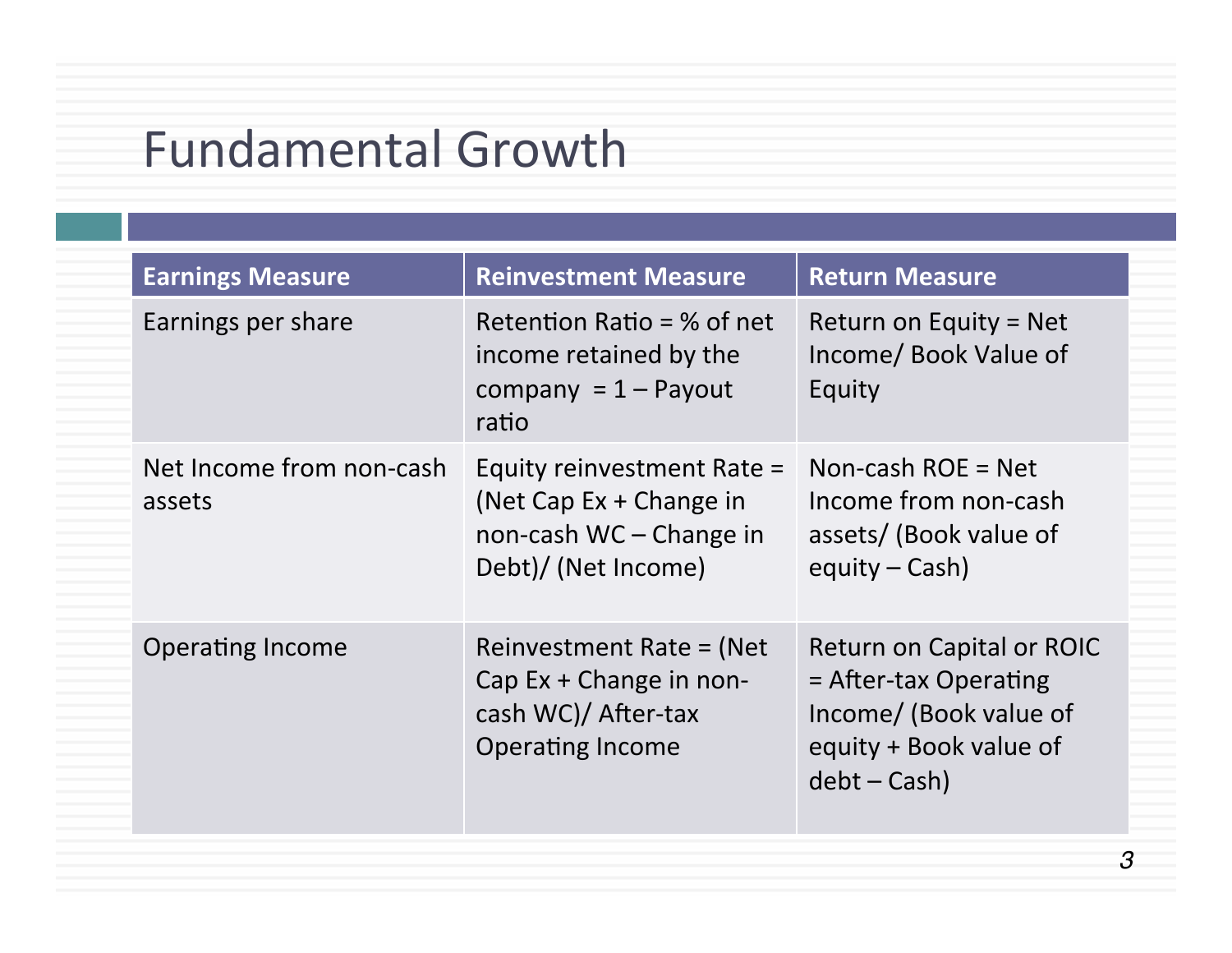# Fundamental Growth

| <b>Earnings Measure</b>            | <b>Reinvestment Measure</b>                                                                               | <b>Return Measure</b>                                                                                                    |
|------------------------------------|-----------------------------------------------------------------------------------------------------------|--------------------------------------------------------------------------------------------------------------------------|
| Earnings per share                 | Retention Ratio = $%$ of net<br>income retained by the<br>company = $1 -$ Payout<br>ratio                 | Return on Equity = Net<br>Income/ Book Value of<br>Equity                                                                |
| Net Income from non-cash<br>assets | Equity reinvestment Rate =<br>(Net Cap $Ex + Change$ in<br>non-cash WC - Change in<br>Debt)/ (Net Income) | Non-cash $ROE = Net$<br>Income from non-cash<br>assets/ (Book value of<br>equity $-$ Cash)                               |
| <b>Operating Income</b>            | Reinvestment Rate = $(Net$<br>Cap Ex + Change in non-<br>cash WC)/ After-tax<br><b>Operating Income</b>   | Return on Capital or ROIC<br>= After-tax Operating<br>Income/ (Book value of<br>equity + Book value of<br>$debt - Cash)$ |

*3*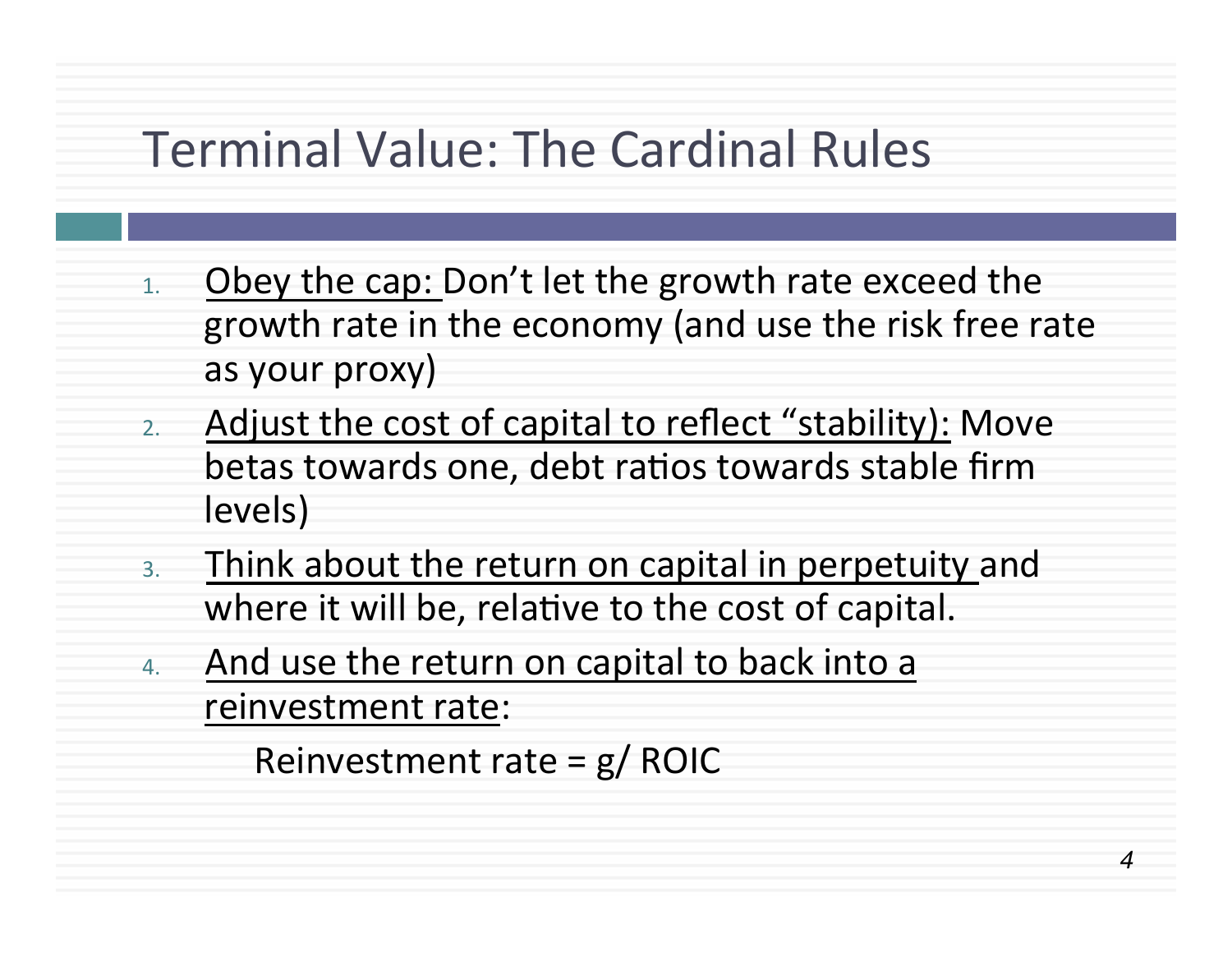## Terminal Value: The Cardinal Rules

- $1.$  Obey the cap: Don't let the growth rate exceed the growth rate in the economy (and use the risk free rate as your proxy)
- 2. Adjust the cost of capital to reflect "stability): Move betas towards one, debt ratios towards stable firm levels)
- 3. Think about the return on capital in perpetuity and where it will be, relative to the cost of capital.
- 4. And use the return on capital to back into a reinvestment rate:

Reinvestment rate =  $g/ROIC$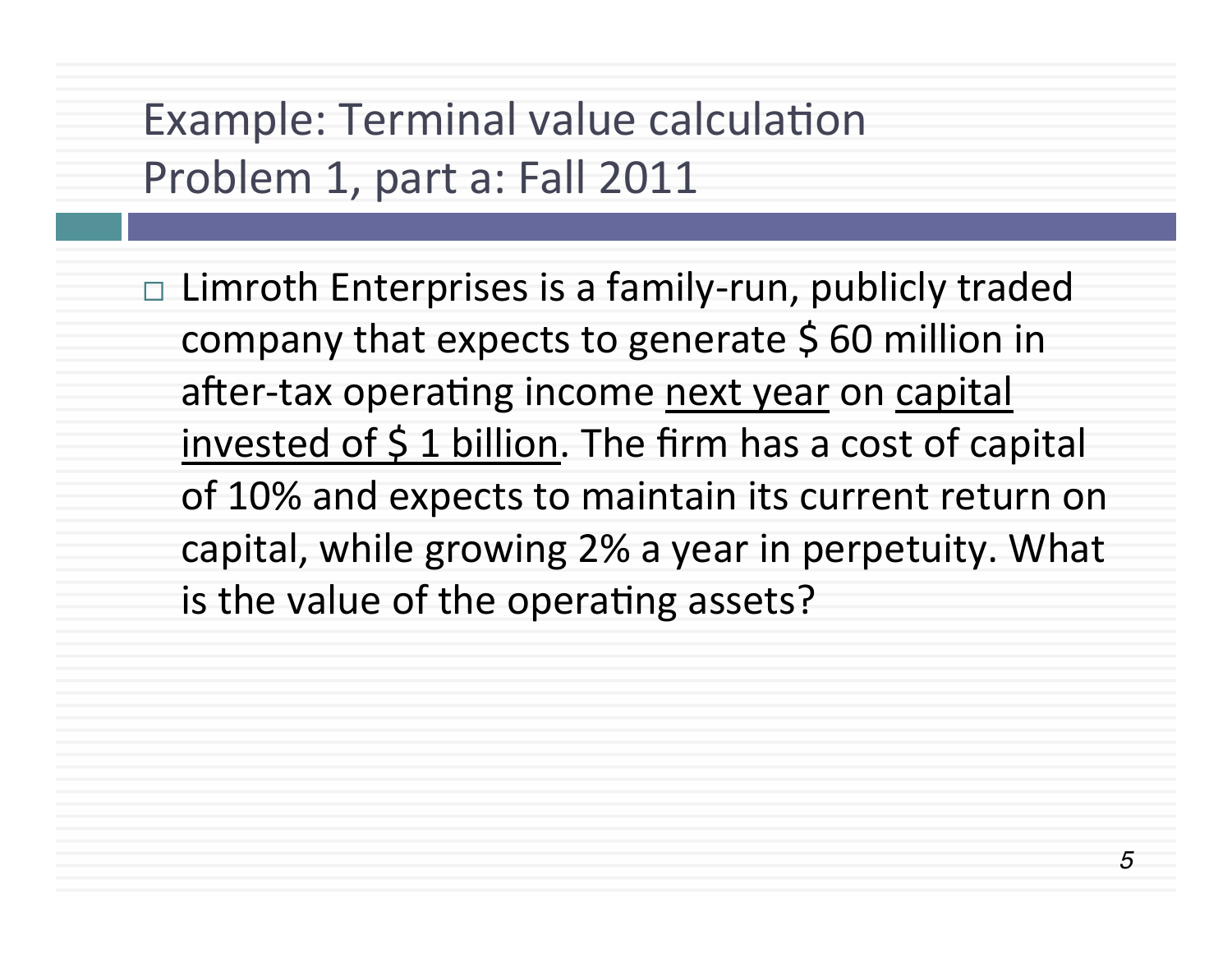Example: Terminal value calculation Problem 1, part a: Fall 2011

 $\Box$  Limroth Enterprises is a family-run, publicly traded company that expects to generate  $$60$  million in after-tax operating income next year on capital invested of  $\frac{1}{2}$  1 billion. The firm has a cost of capital of 10% and expects to maintain its current return on capital, while growing 2% a year in perpetuity. What is the value of the operating assets?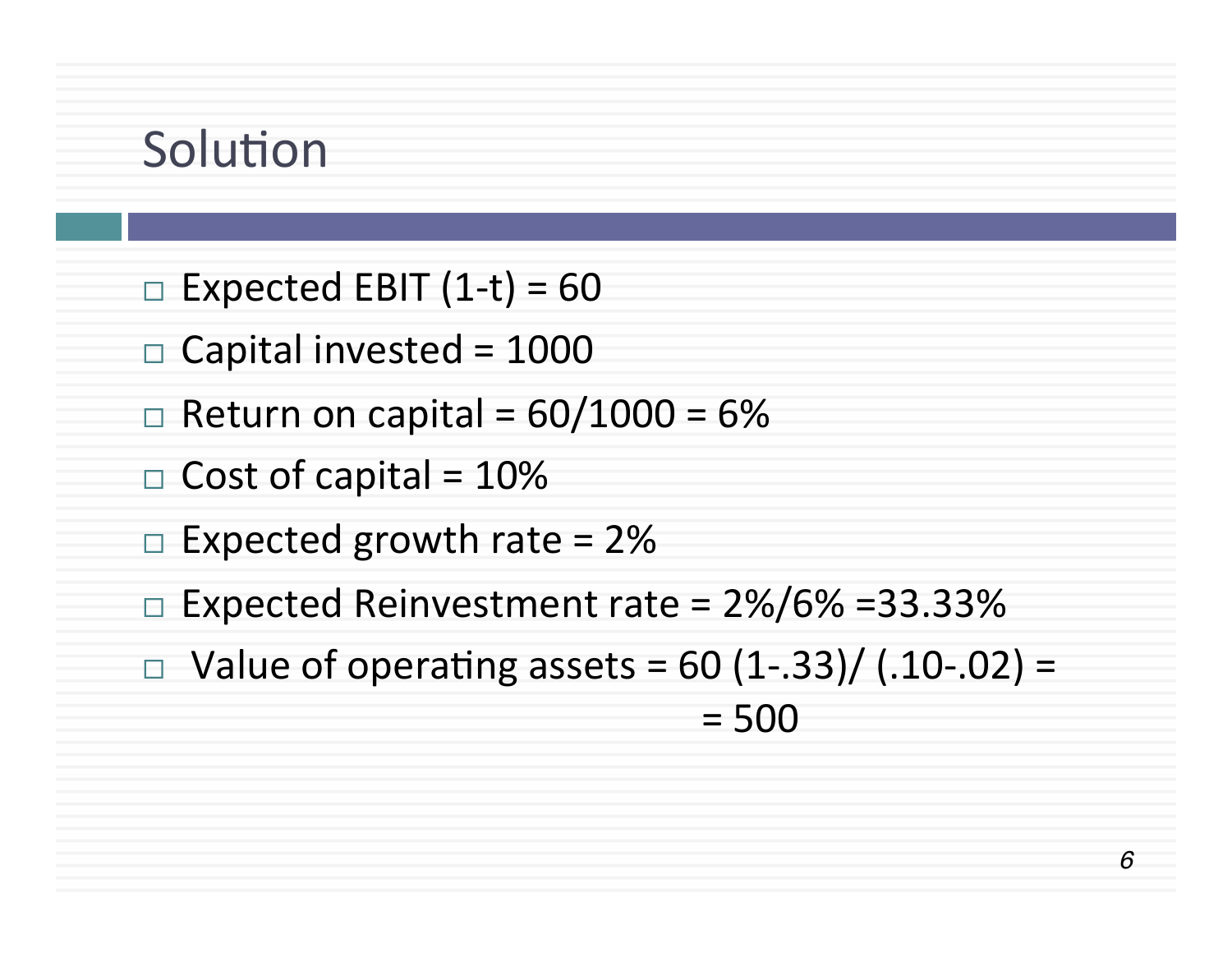# Solution

- $\Box$  Expected EBIT (1-t) = 60
- $\Box$  Capital invested = 1000
- $\Box$  Return on capital = 60/1000 = 6%
- $\Box$  Cost of capital = 10%
- $\Box$  Expected growth rate = 2%
- $\Box$  Expected Reinvestment rate = 2%/6% =33.33%
- □ Value of operating assets =  $60$  (1-.33)/ (.10-.02) =  $= 500$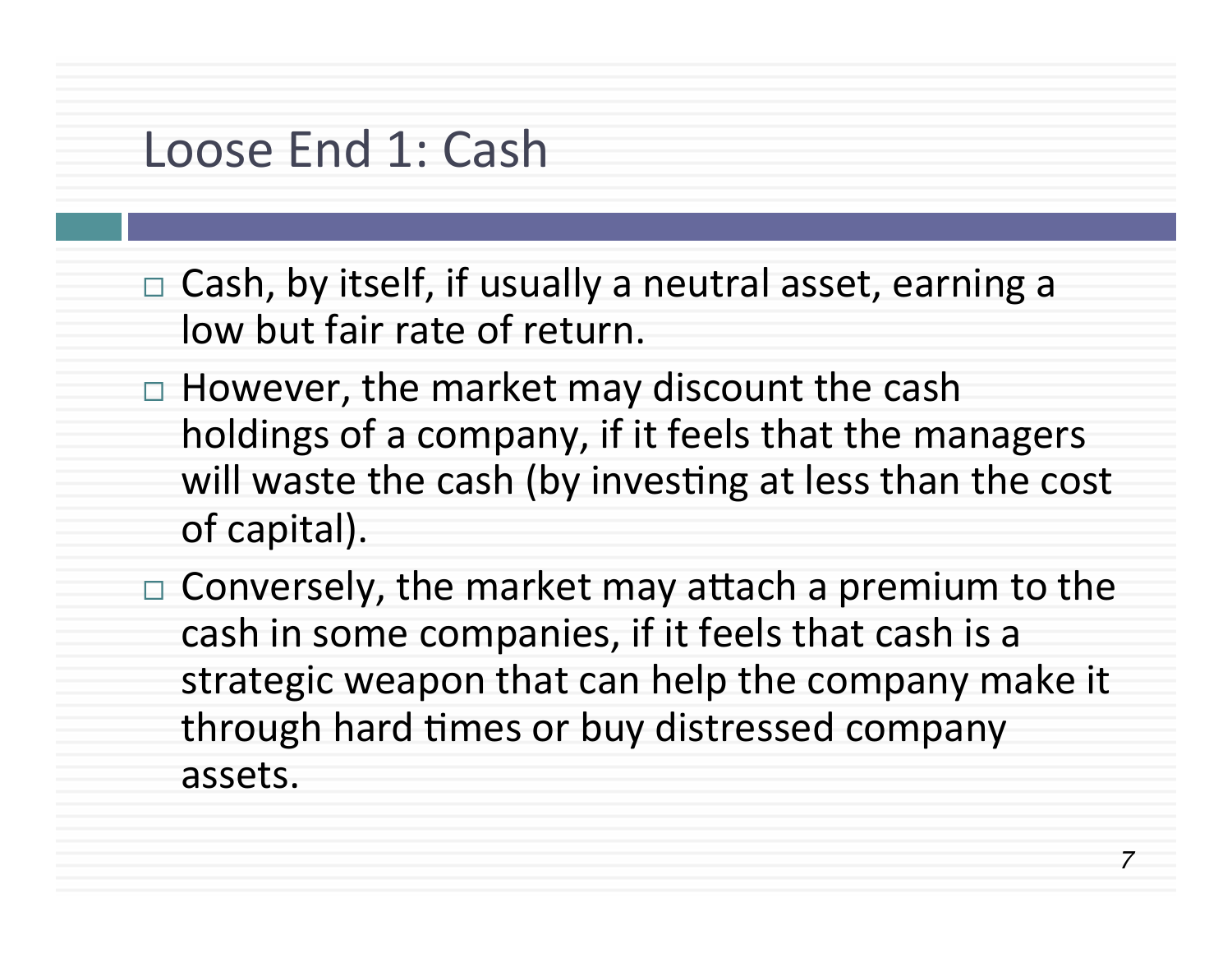# Loose End 1: Cash

- $\Box$  Cash, by itself, if usually a neutral asset, earning a low but fair rate of return.
- $\Box$  However, the market may discount the cash holdings of a company, if it feels that the managers will waste the cash (by investing at less than the cost of capital).
- $\Box$  Conversely, the market may attach a premium to the cash in some companies, if it feels that cash is a strategic weapon that can help the company make it through hard times or buy distressed company assets.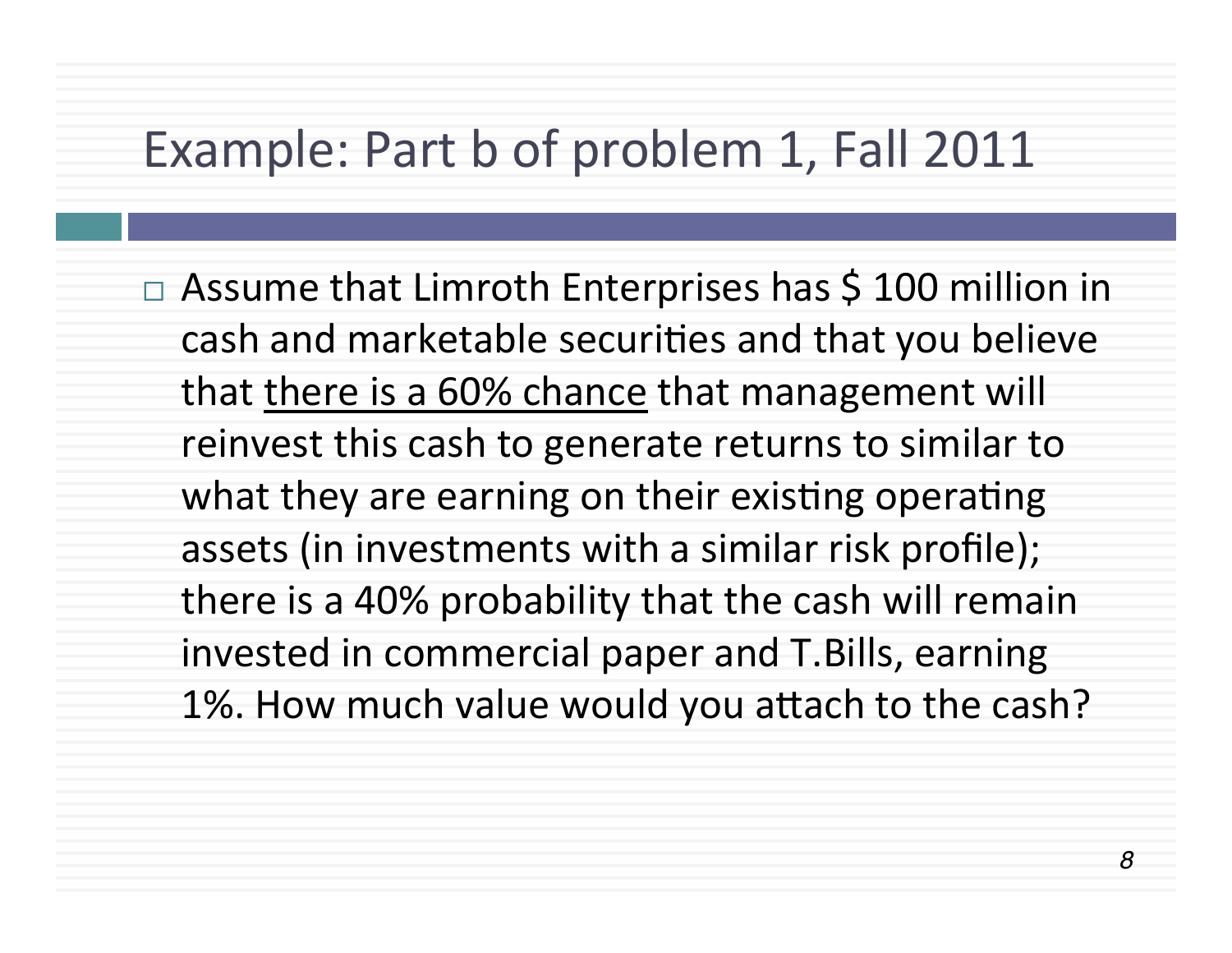### Example: Part b of problem 1, Fall 2011

 $\Box$  Assume that Limroth Enterprises has \$ 100 million in cash and marketable securities and that you believe that there is a 60% chance that management will reinvest this cash to generate returns to similar to what they are earning on their existing operating assets (in investments with a similar risk profile); there is a 40% probability that the cash will remain invested in commercial paper and T.Bills, earning 1%. How much value would you attach to the cash?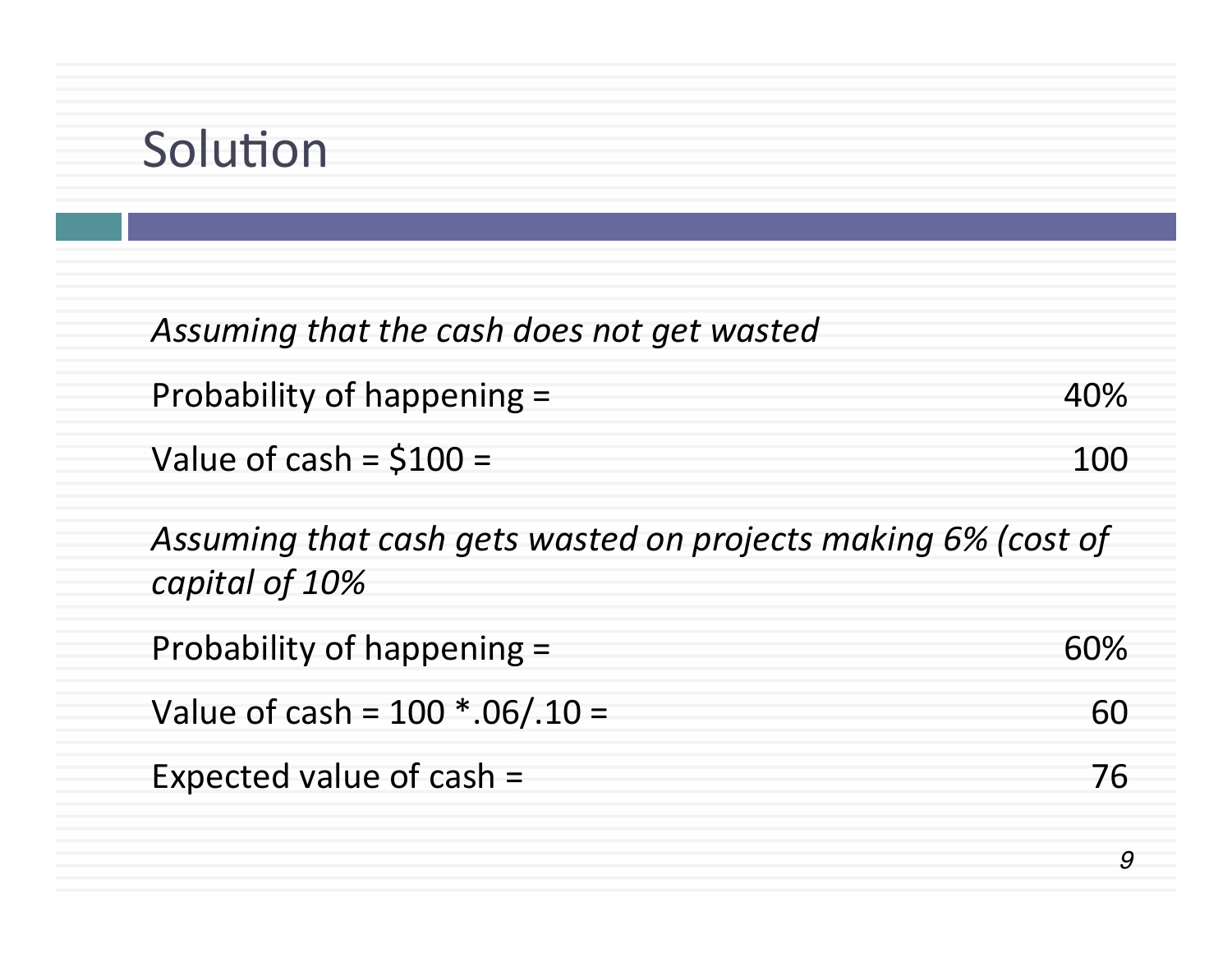# Solution

| Assuming that the cash does not get wasted                                      |     |
|---------------------------------------------------------------------------------|-----|
| Probability of happening =                                                      | 40% |
| Value of cash = $$100 =$                                                        | 100 |
| Assuming that cash gets wasted on projects making 6% (cost of<br>capital of 10% |     |
| Probability of happening =                                                      | 60% |
| Value of cash = $100$ *.06/.10 =                                                | 60  |
| Expected value of cash =                                                        | 76  |
|                                                                                 | 9   |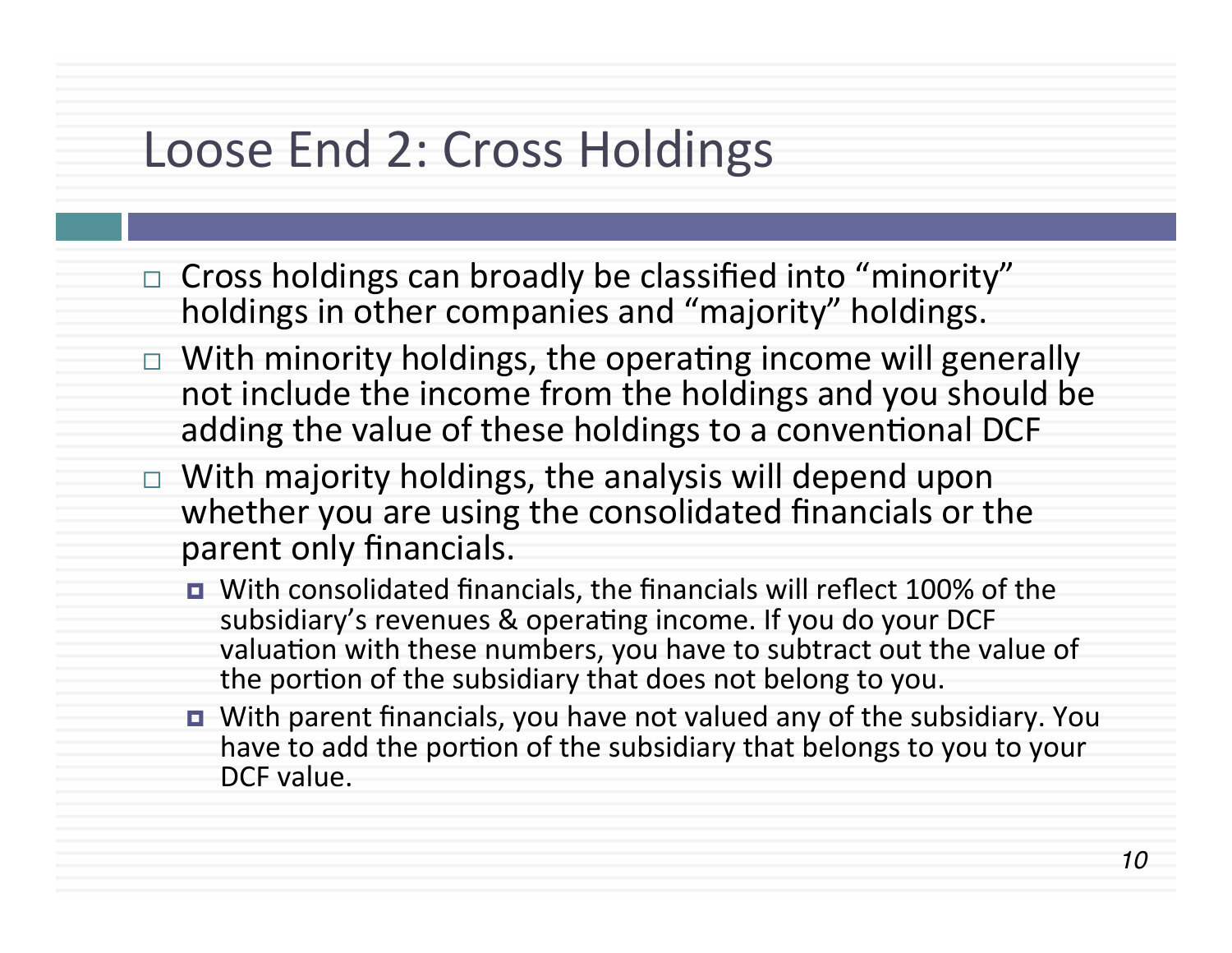#### Loose End 2: Cross Holdings

- $\Box$  Cross holdings can broadly be classified into "minority" holdings in other companies and "majority" holdings.
- $\Box$  With minority holdings, the operating income will generally not include the income from the holdings and you should be adding the value of these holdings to a conventional DCF
- $\Box$  With majority holdings, the analysis will depend upon whether you are using the consolidated financials or the parent only financials.
	- With consolidated financials, the financials will reflect 100% of the subsidiary's revenues & operating income. If you do your DCF valuation with these numbers, you have to subtract out the value of the portion of the subsidiary that does not belong to you.
	- With parent financials, you have not valued any of the subsidiary. You have to add the portion of the subsidiary that belongs to you to your DCF value.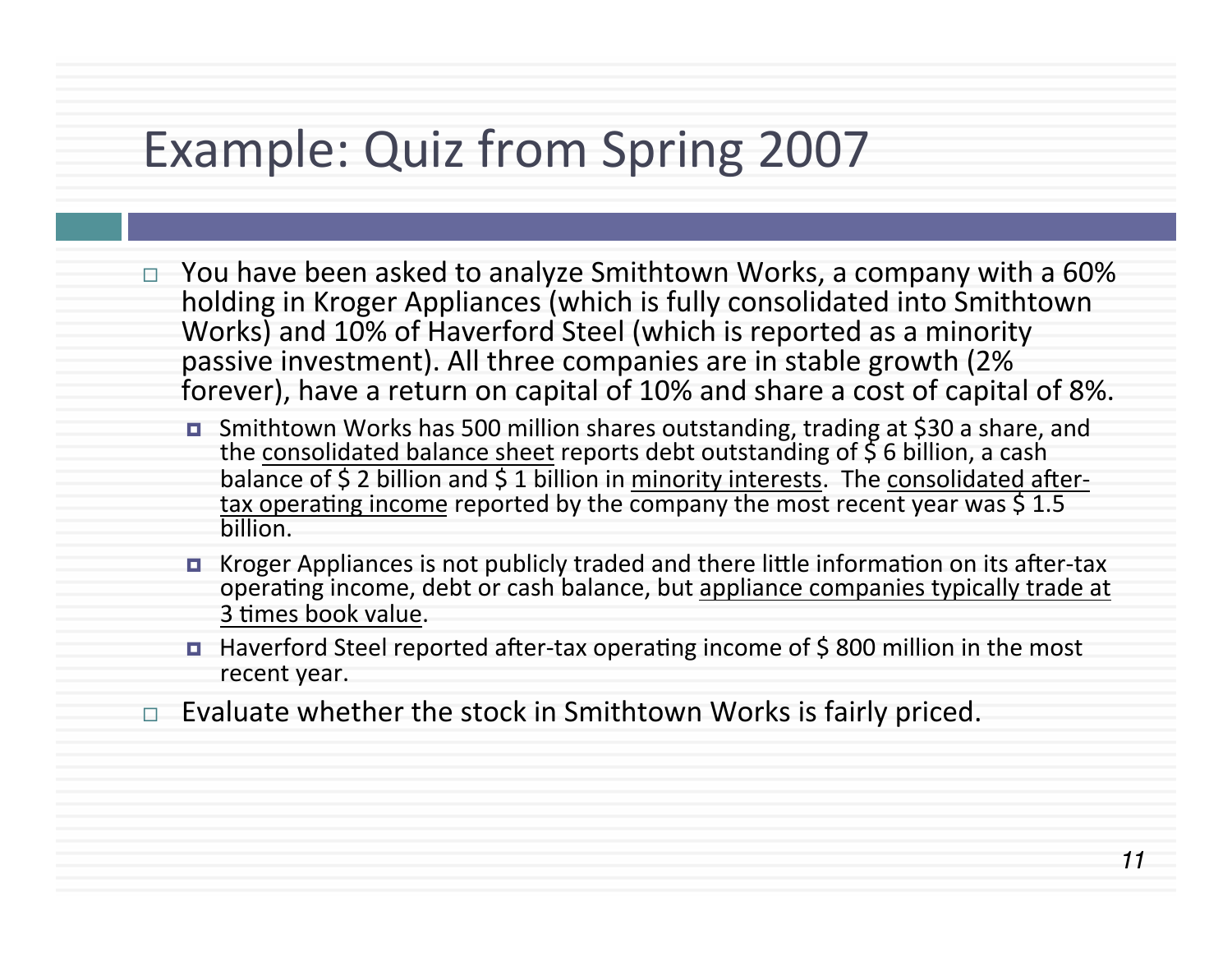# Example: Quiz from Spring 2007

- You have been asked to analyze Smithtown Works, a company with a 60% holding in Kroger Appliances (which is fully consolidated into Smithtown Works) and 10% of Haverford Steel (which is reported as a minority passive investment). All three companies are in stable growth (2%) forever), have a return on capital of 10% and share a cost of capital of 8%.
	- Smithtown Works has 500 million shares outstanding, trading at \$30 a share, and the consolidated balance sheet reports debt outstanding of  $\frac{5}{5}$  6 billion, a cash balance of  $$$  2 billion and  $$$  1 billion in minority interests. The consolidated aftertax operating income reported by the company the most recent year was  $\frac{15}{1.5}$ billion.
	- **E** Kroger Appliances is not publicly traded and there little information on its after-tax operating income, debt or cash balance, but appliance companies typically trade at 3 times book value.
	- $\blacksquare$  Haverford Steel reported after-tax operating income of \$800 million in the most recent year.
- Evaluate whether the stock in Smithtown Works is fairly priced.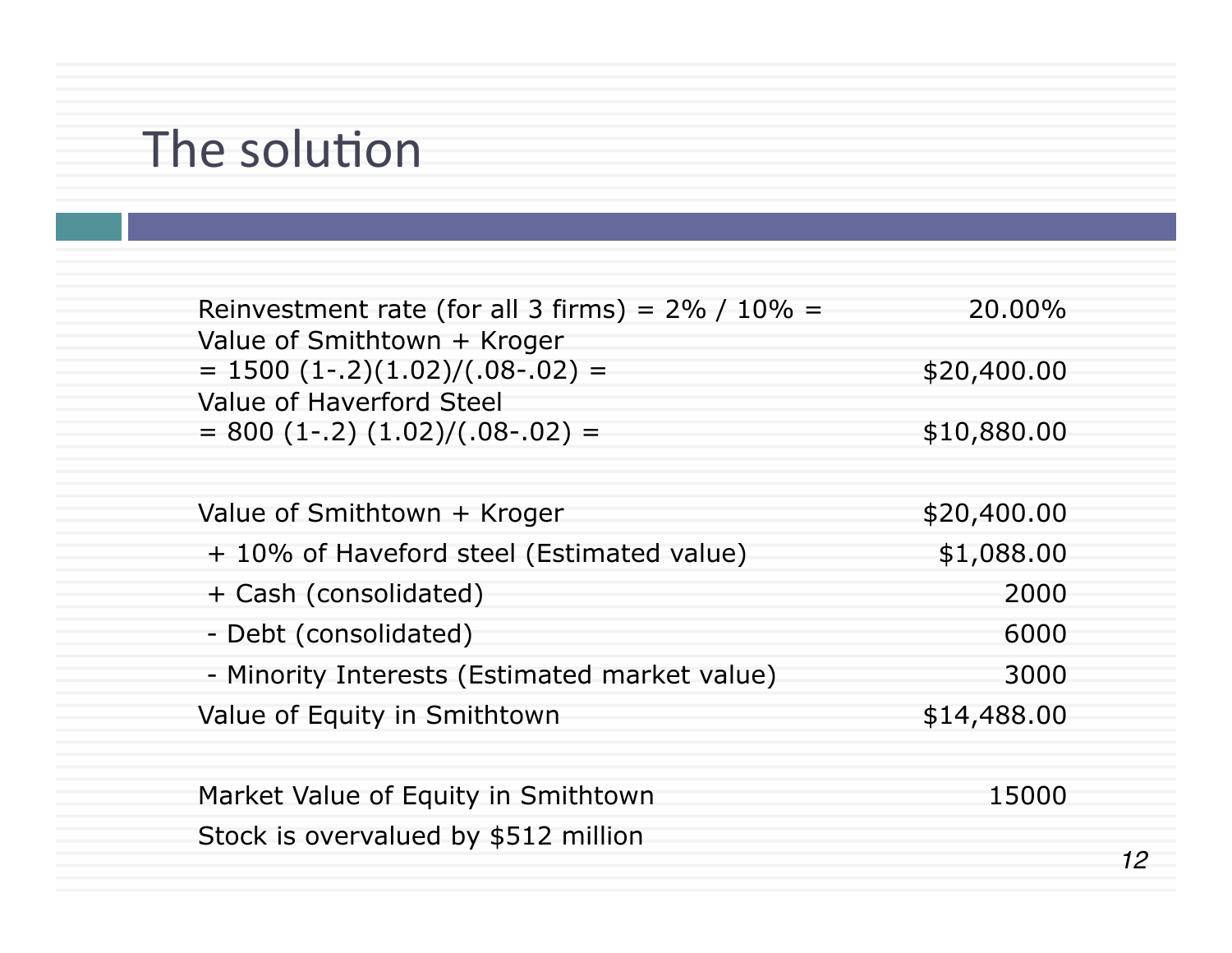# The solution

| 12 |
|----|
|    |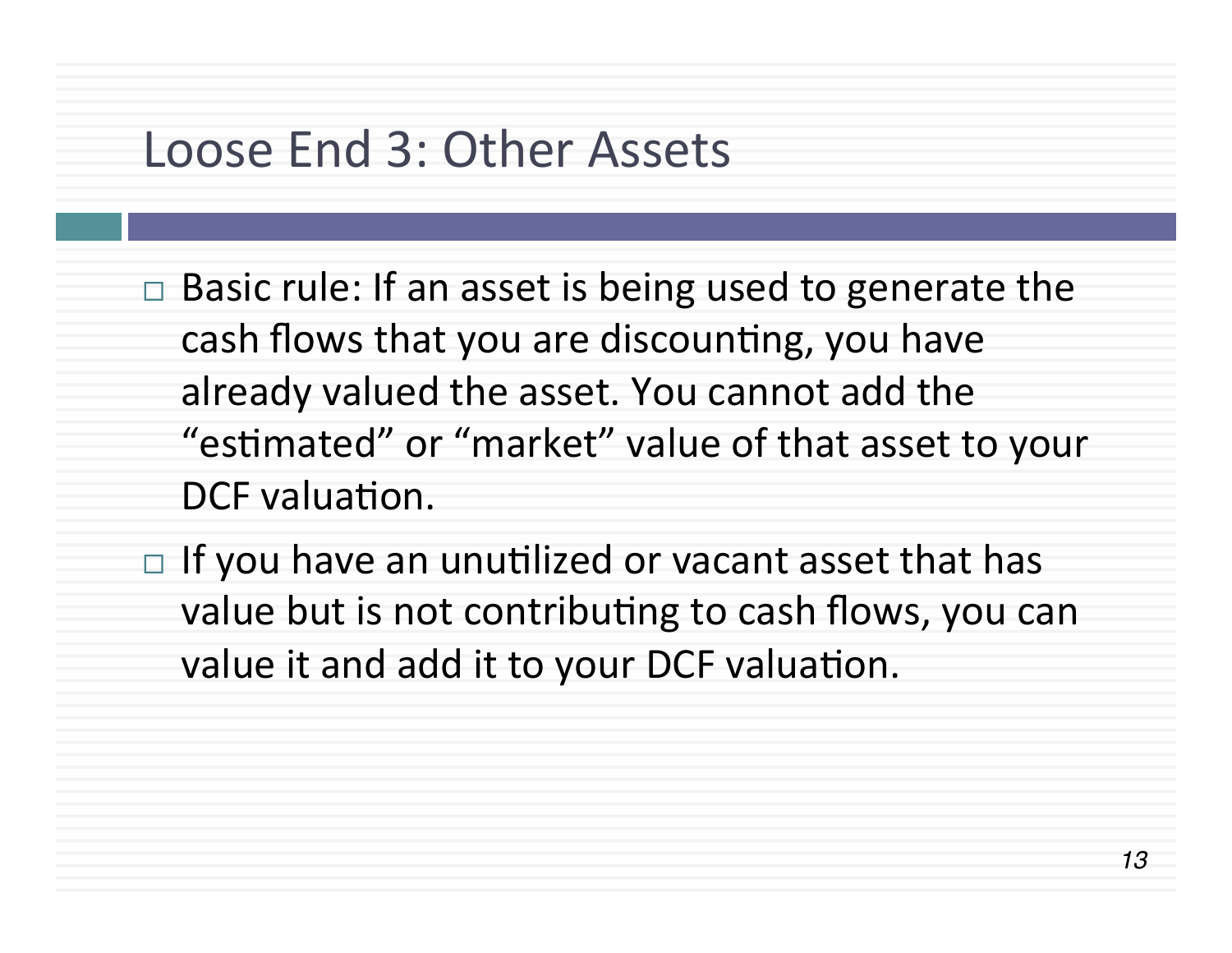#### Loose End 3: Other Assets

- $\Box$  Basic rule: If an asset is being used to generate the cash flows that you are discounting, you have already valued the asset. You cannot add the "estimated" or "market" value of that asset to your DCF valuation.
- $\Box$  If you have an unutilized or vacant asset that has value but is not contributing to cash flows, you can value it and add it to your DCF valuation.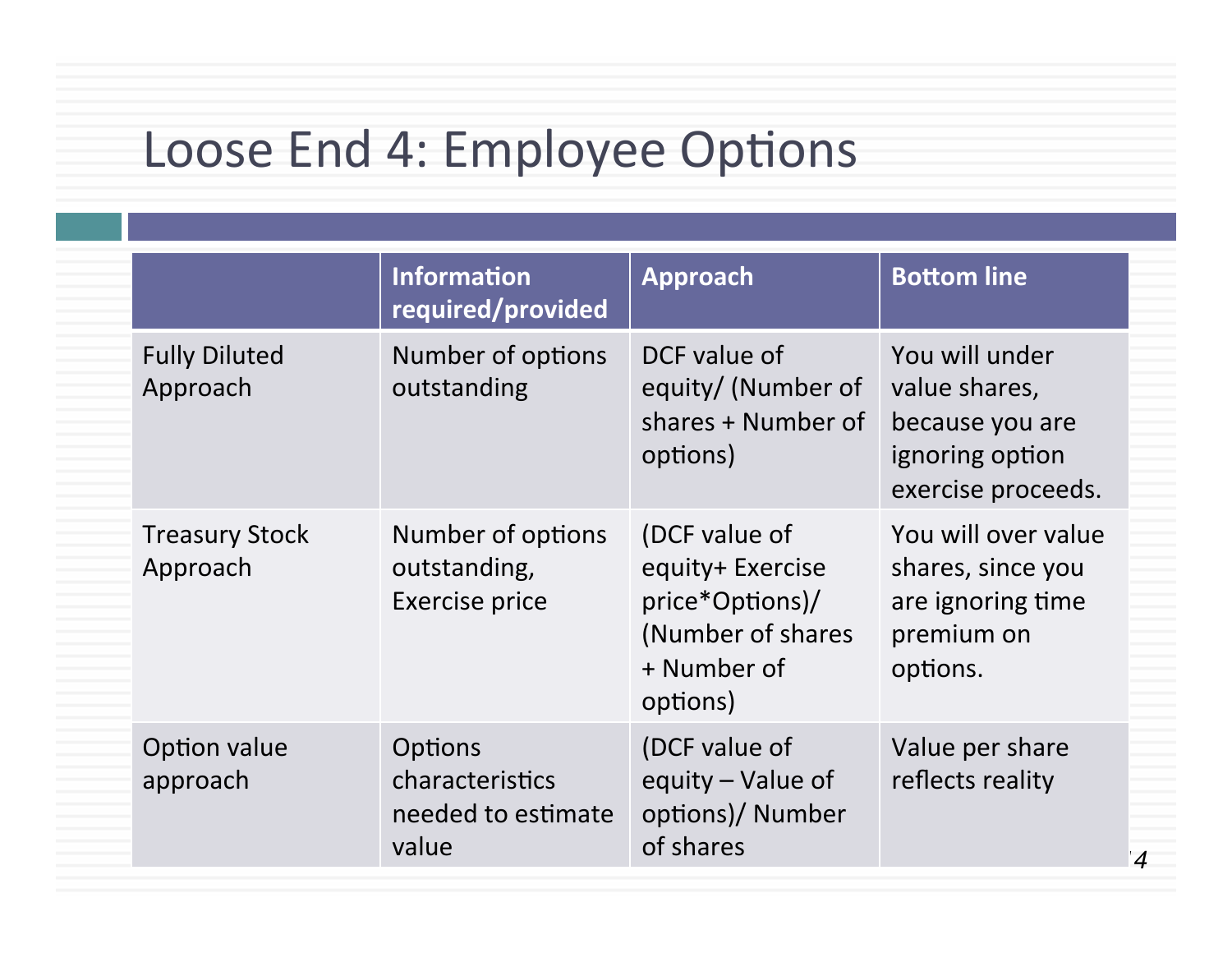# Loose End 4: Employee Options

|                                   | <b>Information</b><br>required/provided                          | Approach                                                                                             | <b>Bottom line</b>                                                                          |
|-----------------------------------|------------------------------------------------------------------|------------------------------------------------------------------------------------------------------|---------------------------------------------------------------------------------------------|
| <b>Fully Diluted</b><br>Approach  | Number of options<br>outstanding                                 | DCF value of<br>equity/ (Number of<br>shares + Number of<br>options)                                 | You will under<br>value shares,<br>because you are<br>ignoring option<br>exercise proceeds. |
| <b>Treasury Stock</b><br>Approach | Number of options<br>outstanding,<br>Exercise price              | (DCF value of<br>equity+ Exercise<br>price*Options)/<br>(Number of shares<br>+ Number of<br>options) | You will over value<br>shares, since you<br>are ignoring time<br>premium on<br>options.     |
| Option value<br>approach          | <b>Options</b><br>characteristics<br>needed to estimate<br>value | (DCF value of<br>equity - Value of<br>options)/ Number<br>of shares                                  | Value per share<br>reflects reality                                                         |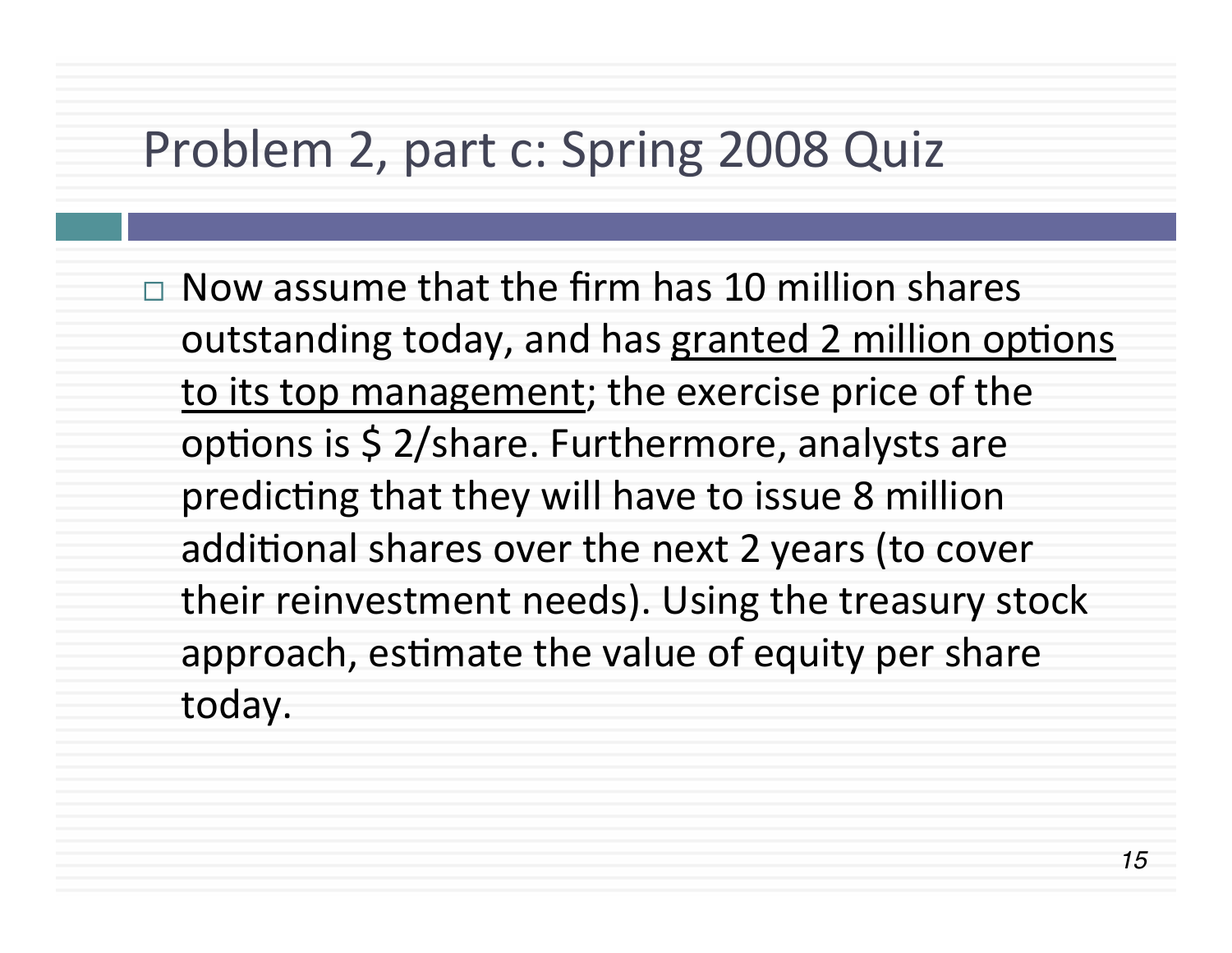### Problem 2, part c: Spring 2008 Quiz

 $\Box$  Now assume that the firm has 10 million shares outstanding today, and has granted 2 million options to its top management; the exercise price of the options is  $\frac{1}{2}$ /share. Furthermore, analysts are predicting that they will have to issue 8 million additional shares over the next 2 years (to cover their reinvestment needs). Using the treasury stock approach, estimate the value of equity per share today.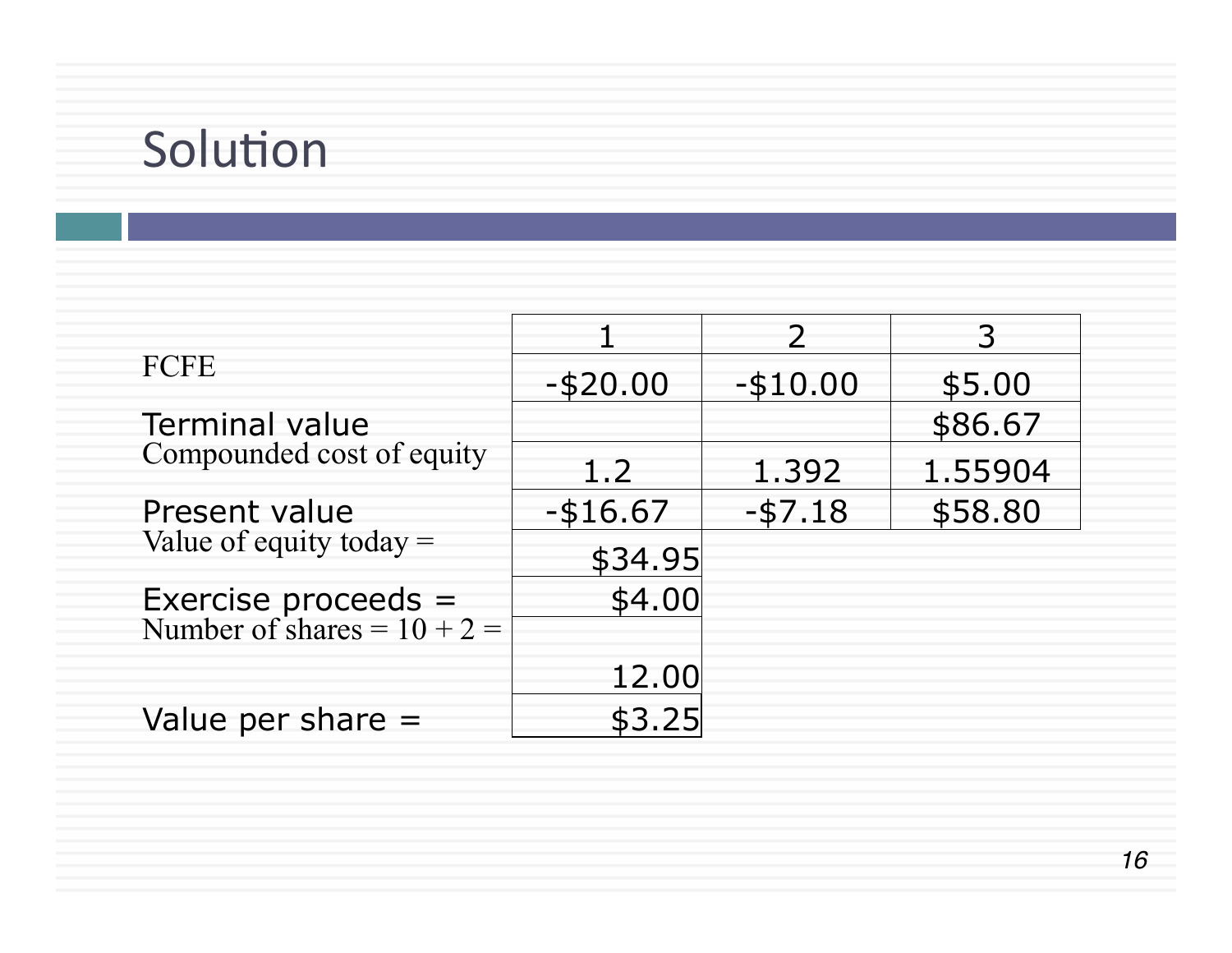# Solution

|                                                      |             | $\mathcal{P}$ | 3       |
|------------------------------------------------------|-------------|---------------|---------|
| FCFE                                                 | $-$ \$20.00 | $-$ \$10.00   | \$5.00  |
| <b>Terminal value</b>                                |             |               | \$86.67 |
| Compounded cost of equity                            | 1.2         | 1.392         | 1.55904 |
| Present value                                        | $-$ \$16.67 | $-57.18$      | \$58.80 |
| Value of equity today $=$                            | \$34.95     |               |         |
| Exercise proceeds =<br>Number of shares = $10 + 2 =$ | \$4.00      |               |         |
|                                                      |             |               |         |
|                                                      | 12.00       |               |         |
| Value per share $=$                                  | \$3.25      |               |         |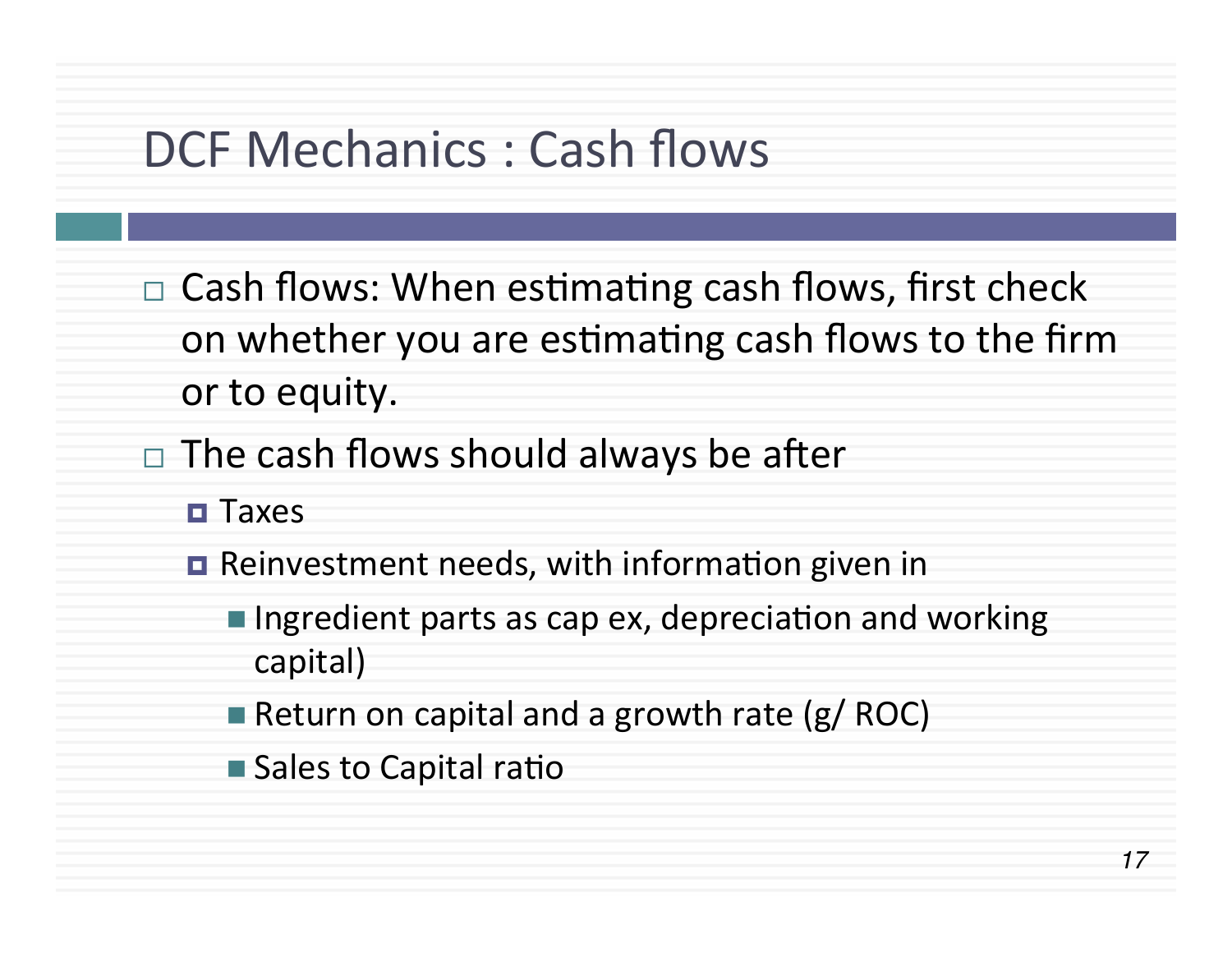#### DCF Mechanics : Cash flows

- $\Box$  Cash flows: When estimating cash flows, first check on whether you are estimating cash flows to the firm or to equity.
- $\Box$  The cash flows should always be after
	- ¤ Taxes
	- $\blacksquare$  Reinvestment needs, with information given in
		- **n** Ingredient parts as cap ex, depreciation and working capital)
		- Return on capital and a growth rate  $(g/ROC)$
		- $\blacksquare$  Sales to Capital ratio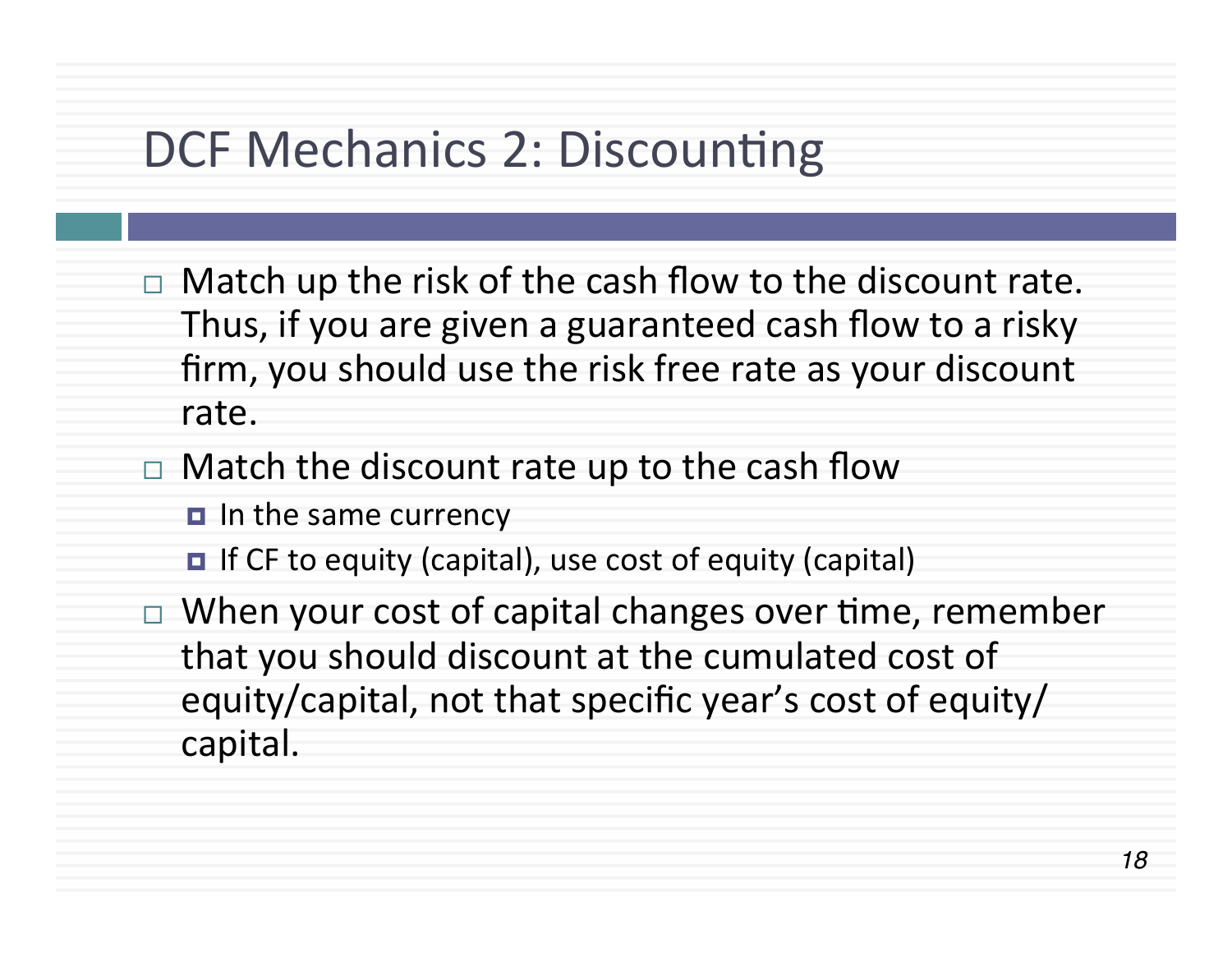# DCF Mechanics 2: Discounting

- $\Box$  Match up the risk of the cash flow to the discount rate. Thus, if you are given a guaranteed cash flow to a risky firm, you should use the risk free rate as your discount rate.
- $\Box$  Match the discount rate up to the cash flow
	- $\blacksquare$  In the same currency
	- $\blacksquare$  If CF to equity (capital), use cost of equity (capital)
- $\Box$  When your cost of capital changes over time, remember that you should discount at the cumulated cost of equity/capital, not that specific year's cost of equity/ capital.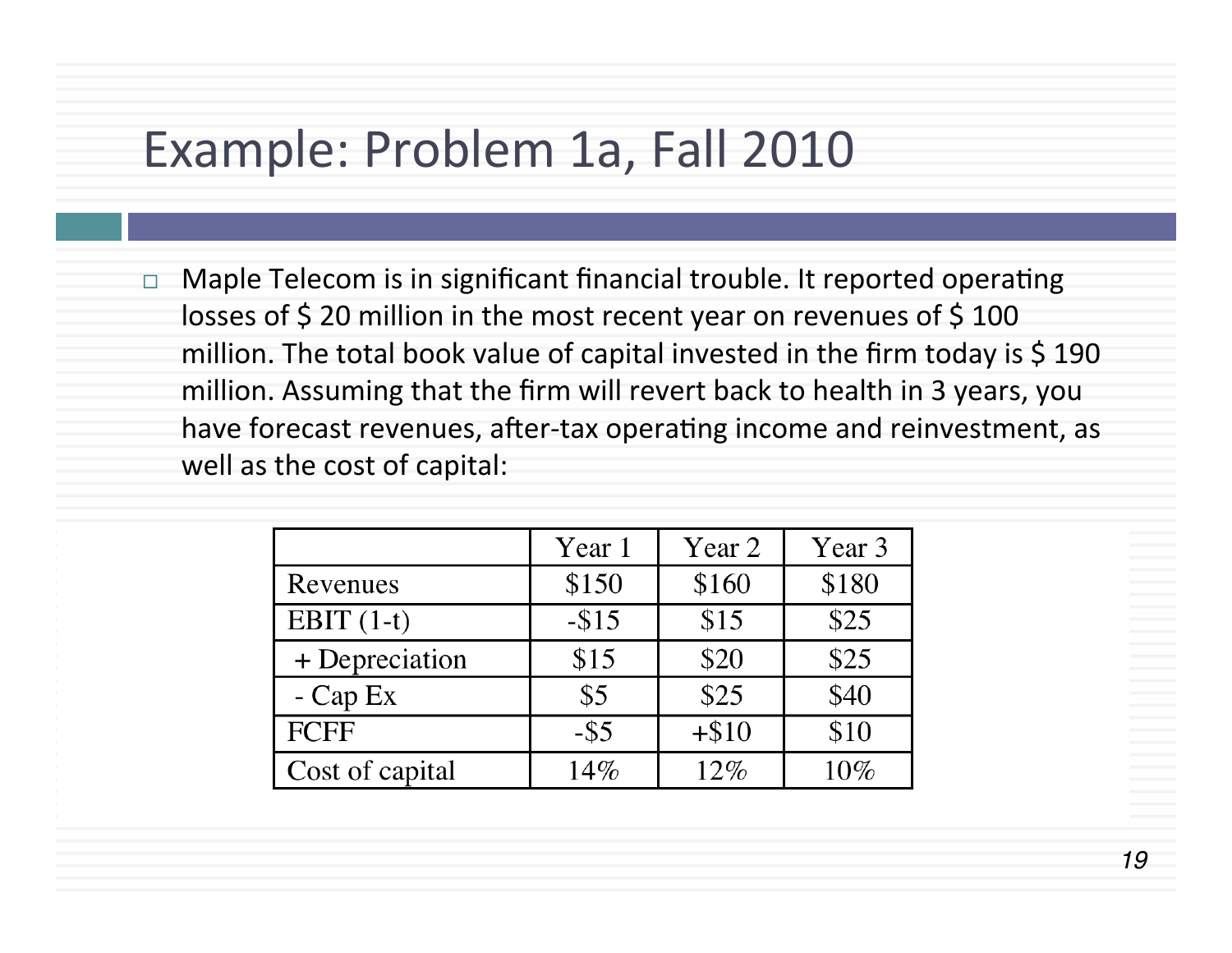## Example: Problem 1a, Fall 2010

 $\Box$  Maple Telecom is in significant financial trouble. It reported operating losses of  $$$  20 million in the most recent year on revenues of  $$$  100 million. The total book value of capital invested in the firm today is  $\frac{1}{9}$  190 million. Assuming that the firm will revert back to health in 3 years, you have forecast revenues, after-tax operating income and reinvestment, as well as the cost of capital:

|                 | Year 1  | Year 2  | Year 3 |
|-----------------|---------|---------|--------|
| Revenues        | \$150   | \$160   | \$180  |
| EBIT $(1-t)$    | $- $15$ | \$15    | \$25   |
| + Depreciation  | \$15    | \$20    | \$25   |
| $-Cap Ex$       | \$5     | \$25    | \$40   |
| <b>FCFF</b>     | $-$ \$5 | $+ $10$ | \$10   |
| Cost of capital | 14%     | 12%     | 10%    |